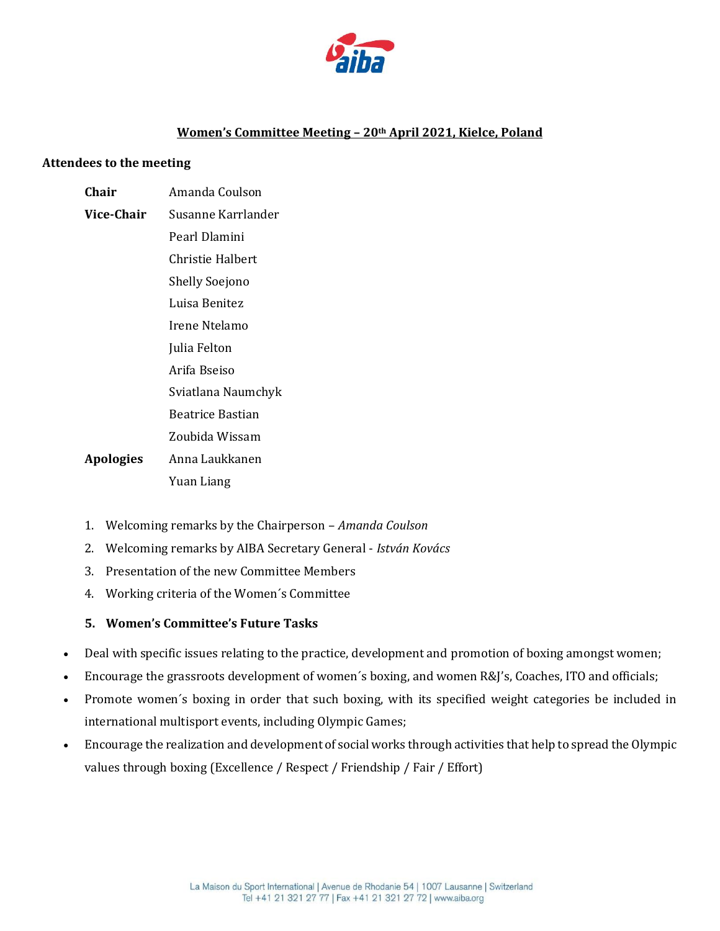

# **Women's Committee Meeting – 20th April 2021, Kielce, Poland**

#### **Attendees to the meeting**

# **Chair** Amanda Coulson

- **Vice-Сhair** Susanne Karrlander Pearl Dlamini Christie Halbert Shelly Soejono Luisa Benitez Irene Ntelamo Julia Felton Arifa Bseiso Sviatlana Naumchyk Beatrice Bastian Zoubida Wissam **Apologies** Anna Laukkanen Yuan Liang
- 1. Welcoming remarks by the Chairperson *Amanda Coulson*
- 2. Welcoming remarks by AIBA Secretary General *István Kovács*
- 3. Presentation of the new Committee Members
- 4. Working criteria of the Women´s Committee

#### **5. Women's Committee's Future Tasks**

- Deal with specific issues relating to the practice, development and promotion of boxing amongst women;
- Encourage the grassroots development of women's boxing, and women R&J's, Coaches, ITO and officials;
- Promote women´s boxing in order that such boxing, with its specified weight categories be included in international multisport events, including Olympic Games;
- Encourage the realization and development of social works through activities that help to spread the Olympic values through boxing (Excellence / Respect / Friendship / Fair / Effort)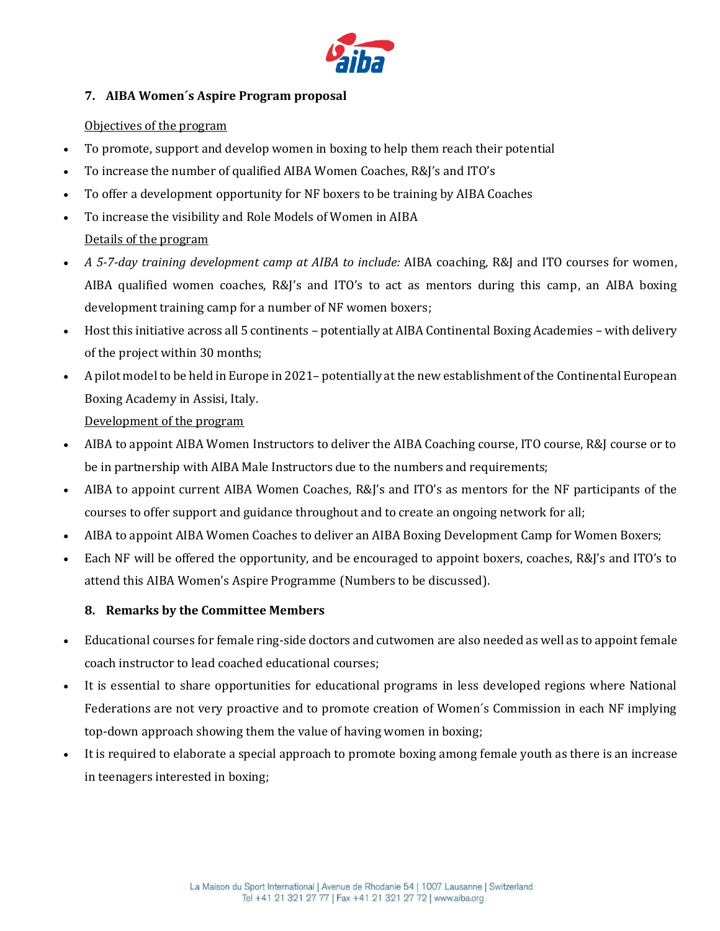

# **7. AIBA Women´s Aspire Program proposal**

### Objectives of the program

- To promote, support and develop women in boxing to help them reach their potential
- To increase the number of qualified AIBA Women Coaches, R&J's and ITO's
- To offer a development opportunity for NF boxers to be training by AIBA Coaches
- To increase the visibility and Role Models of Women in AIBA Details of the program
- *A 5-7-day training development camp at AIBA to include:* AIBA coaching, R&J and ITO courses for women, AIBA qualified women coaches, R&J's and ITO's to act as mentors during this camp, an AIBA boxing development training camp for a number of NF women boxers;
- Host this initiative across all 5 continents potentially at AIBA Continental Boxing Academies with delivery of the project within 30 months;
- A pilot model to be held in Europe in 2021– potentially at the new establishment of the Continental European Boxing Academy in Assisi, Italy.

Development of the program

- AIBA to appoint AIBA Women Instructors to deliver the AIBA Coaching course, ITO course, R&J course or to be in partnership with AIBA Male Instructors due to the numbers and requirements;
- AIBA to appoint current AIBA Women Coaches, R&J's and ITO's as mentors for the NF participants of the courses to offer support and guidance throughout and to create an ongoing network for all;
- AIBA to appoint AIBA Women Coaches to deliver an AIBA Boxing Development Camp for Women Boxers;
- Each NF will be offered the opportunity, and be encouraged to appoint boxers, coaches, R&J's and ITO's to attend this AIBA Women's Aspire Programme (Numbers to be discussed).

# **8. Remarks by the Committee Members**

- Educational courses for female ring-side doctors and cutwomen are also needed as well as to appoint female coach instructor to lead coached educational courses;
- It is essential to share opportunities for educational programs in less developed regions where National Federations are not very proactive and to promote creation of Women´s Commission in each NF implying top-down approach showing them the value of having women in boxing;
- It is required to elaborate a special approach to promote boxing among female youth as there is an increase in teenagers interested in boxing;